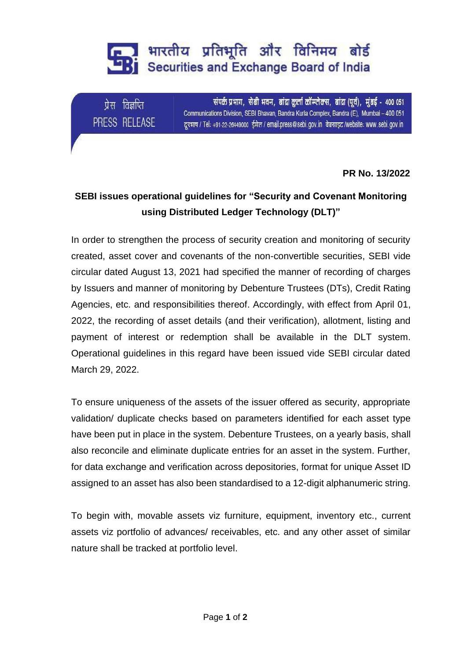## शारतीय प्रतिभूति और विनिमय बोर्ड **Bi** Securities and Exchange Board of India

प्रेस विज्ञप्ति PRESS RELEASE

संपर्क प्रभाग, सेबी भवन, बांद्रा कुर्ला कॉम्प्लेक्स, बांद्रा (पूर्व), मुंबई - 400 051 Communications Division, SEBI Bhavan, Bandra Kurla Complex, Bandra (E), Mumbai - 400 051 दूरभाष / Tel: +91-22-26449000 ईमेल / email:press@sebi.gov.in वेबसाइट /website: www.sebi.gov.in

**PR No. 13/2022**

## **SEBI issues operational guidelines for "Security and Covenant Monitoring using Distributed Ledger Technology (DLT)"**

In order to strengthen the process of security creation and monitoring of security created, asset cover and covenants of the non-convertible securities, SEBI vide circular dated August 13, 2021 had specified the manner of recording of charges by Issuers and manner of monitoring by Debenture Trustees (DTs), Credit Rating Agencies, etc. and responsibilities thereof. Accordingly, with effect from April 01, 2022, the recording of asset details (and their verification), allotment, listing and payment of interest or redemption shall be available in the DLT system. Operational guidelines in this regard have been issued vide SEBI circular dated March 29, 2022.

To ensure uniqueness of the assets of the issuer offered as security, appropriate validation/ duplicate checks based on parameters identified for each asset type have been put in place in the system. Debenture Trustees, on a yearly basis, shall also reconcile and eliminate duplicate entries for an asset in the system. Further, for data exchange and verification across depositories, format for unique Asset ID assigned to an asset has also been standardised to a 12-digit alphanumeric string.

To begin with, movable assets viz furniture, equipment, inventory etc., current assets viz portfolio of advances/ receivables, etc. and any other asset of similar nature shall be tracked at portfolio level.